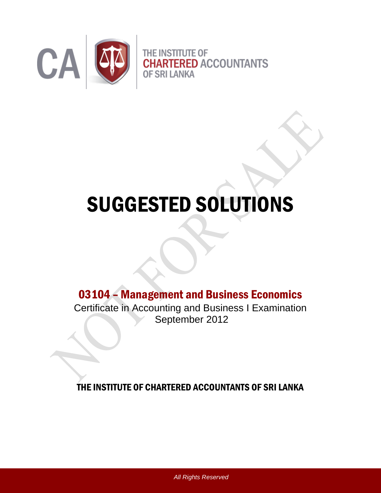

# SUGGESTED SOLUTIONS

# 03104 – Management and Business Economics

Certificate in Accounting and Business I Examination September 2012

THE INSTITUTE OF CHARTERED ACCOUNTANTS OF SRI LANKA

*All Rights Reserved*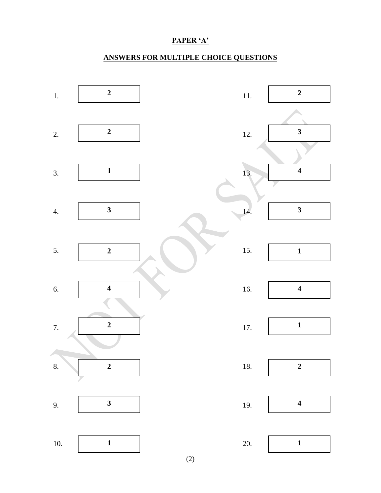## PAPER 'A'

# **ANSWERS FOR MULTIPLE CHOICE QUESTIONS**

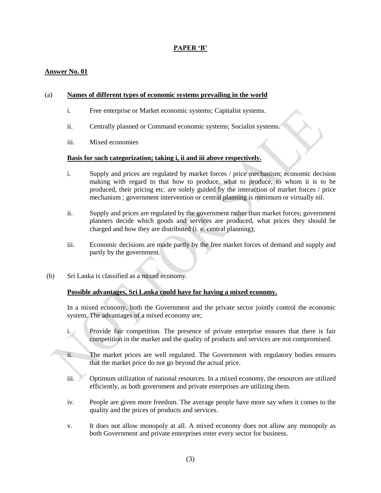#### **PAPER "B"**

#### **Answer No. 01**

#### (a) **Names of different types of economic systems prevailing in the world**

- i. Free enterprise or Market economic systems; Capitalist systems.
- ii. Centrally planned or Command economic systems; Socialist systems.
- iii. Mixed economies

#### **Basis for such categorization; taking i, ii and iii above respectively.**

- i. Supply and prices are regulated by market forces / price mechanism; economic decision making with regard to that how to produce, what to produce, to whom it is to be produced, their pricing etc. are solely guided by the interaction of market forces / price mechanism ; government intervention or central planning is minimum or virtually nil.
- ii. Supply and prices are regulated by the government rather than market forces; government planners decide which goods and services are produced, what prices they should be charged and how they are distributed (i. e. central planning);
- iii. Economic decisions are made partly by the free market forces of demand and supply and partly by the government.
- (b) Sri Lanka is classified as a mixed economy.

#### **Possible advantages, Sri Lanka could have for having a mixed economy.**

In a mixed economy, both the Government and the private sector jointly control the economic system. The advantages of a mixed economy are;

- i. Provide fair competition. The presence of private enterprise ensures that there is fair competition in the market and the quality of products and services are not compromised.
- ii. The market prices are well regulated. The Government with regulatory bodies ensures that the market price do not go beyond the actual price.
- iii. Optimum utilization of national resources. In a mixed economy, the resources are utilized efficiently, as both government and private enterprises are utilizing them.
- iv. People are given more freedom. The average people have more say when it comes to the quality and the prices of products and services.
- v. It does not allow monopoly at all. A mixed economy does not allow any monopoly as both Government and private enterprises enter every sector for business.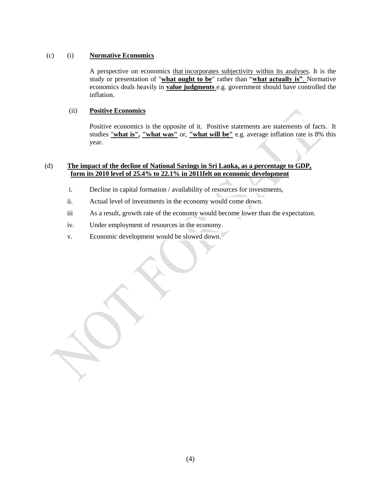#### (c) (i) **Normative Economics**

A perspective on economics that incorporates subjectivity within its analyses. It is the study or presentation of "**what ought to be**" rather than "**what actually is"**. Normative economics deals heavily in **value judgments** e.g. government should have controlled the inflation.

#### (ii) **Positive Economics**

Positive economics is the opposite of it. Positive statements are statements of facts. It studies "**what is", "what was"** or, **"what will be"** e.g. average inflation rate is 8% this year.

#### (d) **The impact of the decline of National Savings in Sri Lanka, as a percentage to GDP, form its 2010 level of 25.4% to 22.1% in 2011felt on economic development**

- i. Decline in capital formation / availability of resources for investments,
- ii. Actual level of investments in the economy would come down.
- iii As a result, growth rate of the economy would become lower than the expectation.
- iv. Under employment of resources in the economy.
- v. Economic development would be slowed down.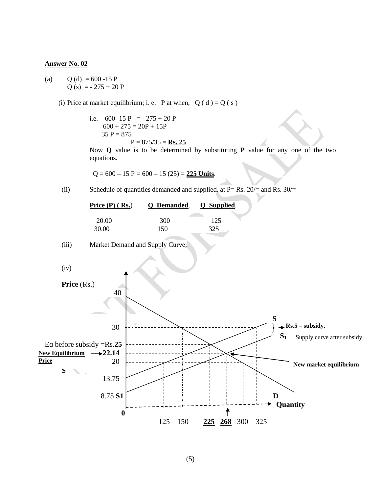(a)  $Q$  (d) = 600 -15 P  $Q(s) = -275 + 20 P$ 

(i) Price at market equilibrium; i. e. P at when,  $Q(d) = Q(s)$ 

i.e.  $600 -15$  P =  $- 275 + 20$  P  $600 + 275 = 20P + 15P$  $35 P = 875$  $P = 875/35 =$ **Rs. 25** 

Now **Q** value is to be determined by substituting **P** value for any one of the two equations.

 $Q = 600 - 15 P = 600 - 15 (25) = 225$  Units.

(ii) Schedule of quantities demanded and supplied, at  $P = Rs$ . 20/= and Rs. 30/=

| Price $(P)$ (Rs.) | Q Demanded. Q Supplied. |     |
|-------------------|-------------------------|-----|
| 20.00             | 300                     | 125 |
| 30.00             | 150                     | 325 |

(iii) Market Demand and Supply Curve;



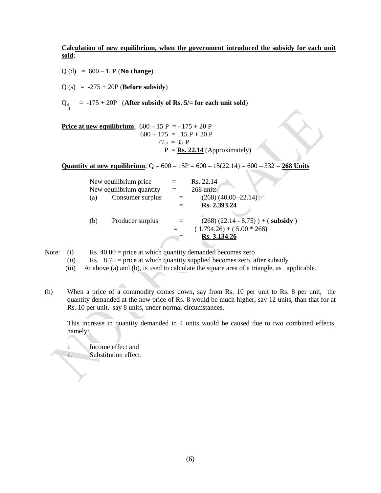**Calculation of new equilibrium, when the government introduced the subsidy for each unit sold**;

Q (d) = 600 – 15P (**No change**)

 $Q (s) = -275 + 20P$  (**Before subsidy**)

 $Q_{S_{1}}$  = -175 + 20P (**After subsidy of Rs. 5/= for each unit sold**)

**Price at new equilibrium**;  $600 - 15 P = -175 + 20 P$  $600 + 175 = 15 P + 20 P$  $775 = 35 P$  $P = \mathbf{Rs.} 22.14$  (Approximately)

**Quantity at new equilibrium**;  $Q = 600 - 15P = 600 - 15(22.14) = 600 - 332 = 268$  Units

|     | New equilibrium price    |     | Rs. 22.14                              |
|-----|--------------------------|-----|----------------------------------------|
|     | New equilibrium quantity | $=$ | 268 units                              |
| (a) | Consumer surplus         |     | $(268) (40.00 - 22.14)$                |
|     |                          |     | Rs. 2,393.24                           |
|     |                          |     |                                        |
| (b) | Producer surplus         |     | $(268)$ $(22.14 - 8.75)$ ) + (subsidy) |
|     |                          |     | $(1,794.26) + (5.00 * 268)$            |
|     |                          |     | Rs. 3,134.26                           |
|     |                          |     |                                        |

Note: (i) Rs.  $40.00$  = price at which quantity demanded becomes zero

(ii) Rs.  $8.75$  = price at which quantity supplied becomes zero, after subsidy

(iii) At above (a) and (b), is used to calculate the square area of a triangle, as applicable.

(b) When a price of a commodity comes down, say from Rs. 10 per unit to Rs. 8 per unit, the quantity demanded at the new price of Rs. 8 would be much higher, say 12 units, than that for at Rs. 10 per unit, say 8 units, under normal circumstances.

This increase in quantity demanded in 4 units would be caused due to two combined effects, namely:

i. Income effect and

ii. Substitution effect.

 $\Delta \Delta$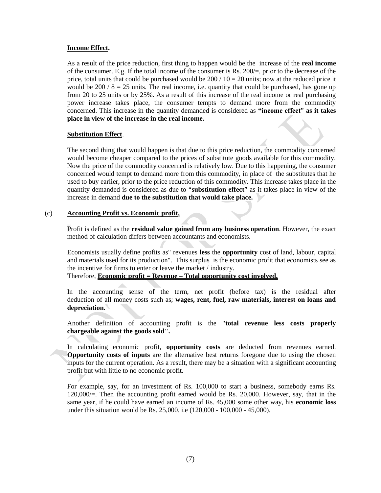#### **Income Effect.**

As a result of the price reduction, first thing to happen would be the increase of the **real income**  of the consumer. E.g. If the total income of the consumer is Rs.  $200/=$ , prior to the decrease of the price, total units that could be purchased would be  $200 / 10 = 20$  units; now at the reduced price it would be  $200 / 8 = 25$  units. The real income, i.e. quantity that could be purchased, has gone up from 20 to 25 units or by 25%. As a result of this increase of the real income or real purchasing power increase takes place, the consumer tempts to demand more from the commodity concerned. This increase in the quantity demanded is considered as **"income effect**" **as it takes place in view of the increase in the real income.**

#### **Substitution Effect**.

The second thing that would happen is that due to this price reduction, the commodity concerned would become cheaper compared to the prices of substitute goods available for this commodity. Now the price of the commodity concerned is relatively low. Due to this happening, the consumer concerned would tempt to demand more from this commodity, in place of the substitutes that he used to buy earlier, prior to the price reduction of this commodity. This increase takes place in the quantity demanded is considered as due to "**substitution effect**" as it takes place in view of the increase in demand **due to the substitution that would take place.**

#### (c) **Accounting Profit vs. Economic profit.**

Profit is defined as the **residual value gained from any business operation**. However, the exact method of calculation differs between accountants and economists.

Economists usually define profits as" revenues **less** the **opportunity** cost of land, labour, capital and materials used for its production". This surplus is the economic profit that economists see as the incentive for firms to enter or leave the market / industry.

Therefore, **Economic profit = Revenue – Total opportunity cost involved.**

In the accounting sense of the term, net profit (before tax) is the residual after deduction of all money costs such as; **wages, rent, fuel, raw materials, interest on loans and depreciation.** 

Another definition of accounting profit is the "**total revenue less costs properly chargeable against the goods sold".**

In calculating economic profit, **opportunity costs** are deducted from revenues earned. **Opportunity costs of inputs** are the alternative best returns foregone due to using the chosen inputs for the current operation. As a result, there may be a situation with a significant accounting profit but with little to no economic profit.

For example, say, for an investment of Rs. 100,000 to start a business, somebody earns Rs. 120,000/=. Then the accounting profit earned would be Rs. 20,000. However, say, that in the same year, if he could have earned an income of Rs. 45,000 some other way, his **economic loss** under this situation would be Rs. 25,000. i.e (120,000 - 100,000 - 45,000).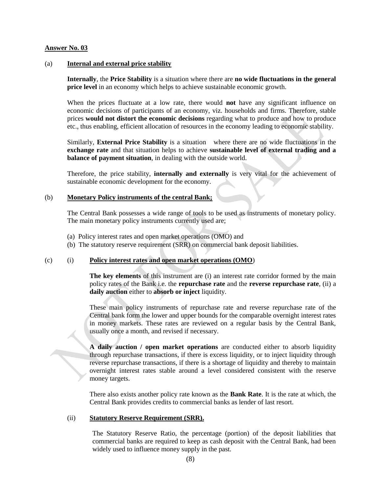#### (a) **Internal and external price stability**

**Internally**, the **Price Stability** is a situation where there are **no wide fluctuations in the general price level** in an economy which helps to achieve sustainable economic growth.

When the prices fluctuate at a low rate, there would **not** have any significant influence on economic decisions of participants of an economy, viz. households and firms. Therefore, stable prices **would not distort the economic decisions** regarding what to produce and how to produce etc., thus enabling, efficient allocation of resources in the economy leading to economic stability.

Similarly, **External Price Stability** is a situation where there are no wide fluctuations in the **exchange rate** and that situation helps to achieve **sustainable level of external trading and a balance of payment situation**, in dealing with the outside world.

Therefore, the price stability, **internally and externally** is very vital for the achievement of sustainable economic development for the economy.

#### (b) **Monetary Policy instruments of the central Bank;**

The Central Bank possesses a wide range of tools to be used as instruments of monetary policy. The main monetary policy instruments currently used are;

- (a) Policy interest rates and open market operations (OMO) and
- (b) The statutory reserve requirement (SRR) on commercial bank deposit liabilities.

#### (c) (i) **Policy interest rates and open market operations (OMO**)

**The key elements** of this instrument are (i) an interest rate corridor formed by the main policy rates of the Bank i.e. the **repurchase rate** and the **reverse repurchase rate**, (ii) a **daily auction** either to **absorb or inject** liquidity.

These main policy instruments of repurchase rate and reverse repurchase rate of the Central bank form the lower and upper bounds for the comparable overnight interest rates in money markets. These rates are reviewed on a regular basis by the Central Bank, usually once a month, and revised if necessary.

**A daily auction / open market operations** are conducted either to absorb liquidity through repurchase transactions, if there is excess liquidity, or to inject liquidity through reverse repurchase transactions, if there is a shortage of liquidity and thereby to maintain overnight interest rates stable around a level considered consistent with the reserve money targets.

There also exists another policy rate known as the **Bank Rate**. It is the rate at which, the Central Bank provides credits to commercial banks as lender of last resort.

#### (ii) **Statutory Reserve Requirement (SRR).**

The Statutory Reserve Ratio, the percentage (portion) of the deposit liabilities that commercial banks are required to keep as cash deposit with the Central Bank, had been widely used to influence money supply in the past.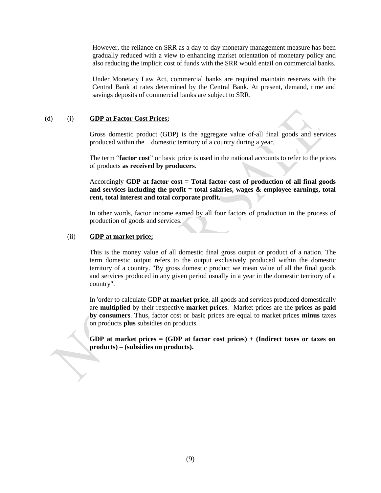However, the reliance on SRR as a day to day monetary management measure has been gradually reduced with a view to enhancing market orientation of monetary policy and also reducing the implicit cost of funds with the SRR would entail on commercial banks.

Under Monetary Law Act, commercial banks are required maintain reserves with the Central Bank at rates determined by the Central Bank. At present, demand, time and savings deposits of commercial banks are subject to SRR.

#### (d) (i) **GDP at Factor Cost Prices;**

Gross domestic product (GDP) is the aggregate value of-all final goods and services produced within the domestic territory of a country during a year.

The term "**factor cost**" or basic price is used in the national accounts to refer to the prices of products **as received by producers**.

Accordingly **GDP at factor cost = Total factor cost of production of all final goods and services including the profit = total salaries, wages & employee earnings, total rent, total interest and total corporate profit.**

In other words, factor income earned by all four factors of production in the process of production of goods and services.

#### (ii) **GDP at market price;**

This is the money value of all domestic final gross output or product of a nation. The term domestic output refers to the output exclusively produced within the domestic territory of a country. "By gross domestic product we mean value of all the final goods and services produced in any given period usually in a year in the domestic territory of a country".

In 'order to calculate GDP **at market price**, all goods and services produced domestically are **multiplied** by their respective **market prices**. Market prices are the **prices as paid by consumers**. Thus, factor cost or basic prices are equal to market prices **minus** taxes on products **plus** subsidies on products.

**GDP at market prices = (GDP at factor cost prices) + (Indirect taxes or taxes on products) – (subsidies on products).**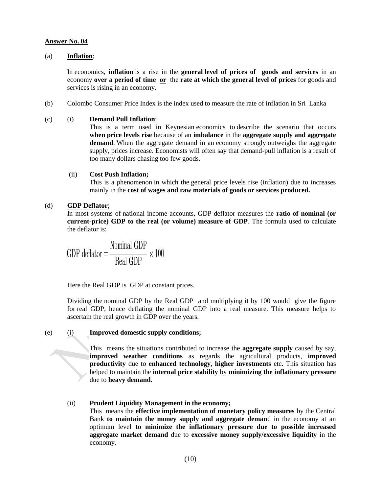#### (a) **Inflation**;

In economics, **inflation** is a rise in the **general level of prices of goods and services** in an economy **over a period of time or** the **rate at which the general level of prices** for goods and services is rising in an economy.

(b) Colombo Consumer Price Index is the index used to measure the rate of inflation in Sri Lanka

#### (c) (i) **Demand Pull Inflation**;

This is a term used in Keynesian economics to describe the scenario that occurs **when price levels rise** because of an **imbalance** in the **aggregate supply and aggregate demand**. When the aggregate demand in an economy strongly outweighs the aggregate supply, prices increase. Economists will often say that demand-pull inflation is a result of too many dollars chasing too few goods.

#### (ii) **Cost Push Inflation;**

This is a phenomenon in which the general price levels rise (inflation) due to increases mainly in the **cost of wages and raw materials of goods or services produced.**

#### (d) **GDP Deflator**;

In most systems of national income accounts, GDP deflator measures the **ratio of nominal (or current-price) GDP to the real (or volume) measure of GDP**. The formula used to calculate the deflator is:

GDP deflator =  $\frac{\text{Nominal GDP}}{\text{Real GDP}} \times 100$ 

Here the Real GDP is GDP at constant prices.

Dividing the nominal GDP by the Real GDP and multiplying it by 100 would give the figure for real GDP, hence deflating the nominal GDP into a real measure. This measure helps to ascertain the real growth in GDP over the years.

#### (e) (i) **Improved domestic supply conditions;**

Thismeans the situations contributed to increase the **aggregate supply** caused by say, **improved weather conditions** as regards the agricultural products, **improved productivity** due to **enhanced technology, higher investments** etc. This situation has helped to maintain the **internal price stability** by **minimizing the inflationary pressure** due to **heavy demand.** 

#### (ii) **Prudent Liquidity Management in the economy;**

This means the **effective implementation of monetary policy measures** by the Central Bank **to maintain the money supply and aggregate deman**d in the economy at an optimum level **to minimize the inflationary pressure due to possible increased aggregate market demand** due to **excessive money supply/excessive liquidity** in the economy.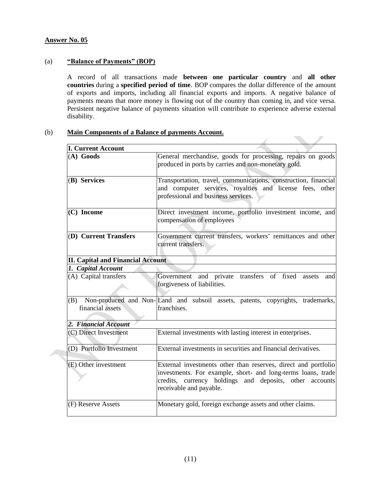#### (a) **"Balance of Payments" (BOP)**

A record of all transactions made **between one particular country** and **all other countries** during a **specified period of time**. BOP compares the dollar difference of the amount of exports and imports, including all financial exports and imports. A negative balance of payments means that more money is flowing out of the country than coming in, and vice versa. Persistent negative balance of payments situation will contribute to experience adverse external disability.

**The Contract of the Contract of the Contract of the Contract of the Contract of the Contract of the Contract o** 

 $\mathcal{S}^{\mathcal{S}}$ 

#### (b) **Main Components of a Balance of payments Account.**

| <b>I. Current Account</b>                |                                                                                                                                                                                                                      |  |  |
|------------------------------------------|----------------------------------------------------------------------------------------------------------------------------------------------------------------------------------------------------------------------|--|--|
| $(A)$ Goods                              | General merchandise, goods for processing, repairs on goods<br>produced in ports by carries and non-monetary gold.                                                                                                   |  |  |
| (B) Services                             | Transportation, travel, communications, construction, financial<br>and computer services, royalties and license fees, other<br>professional and business services.                                                   |  |  |
| $(C)$ Income                             | Direct investment income, portfolio investment income, and<br>compensation of employees                                                                                                                              |  |  |
| (D) Current Transfers                    | Government current transfers, workers' remittances and other<br>current transfers.                                                                                                                                   |  |  |
| <b>II. Capital and Financial Account</b> |                                                                                                                                                                                                                      |  |  |
| 1. Capital Account                       |                                                                                                                                                                                                                      |  |  |
| (A) Capital transfers                    | Government and private transfers of fixed assets<br>and<br>forgiveness of liabilities.                                                                                                                               |  |  |
| (B)<br>financial assets                  | Non-produced and Non-Land and subsoil assets, patents, copyrights, trademarks,<br>franchises.                                                                                                                        |  |  |
| 2. Financial Account                     |                                                                                                                                                                                                                      |  |  |
| (C) Direct Investment                    | External investments with lasting interest in enterprises.                                                                                                                                                           |  |  |
| (D) Portfolio Investment                 | External investments in securities and financial derivatives.                                                                                                                                                        |  |  |
| $(E)$ Other investment                   | External investments other than reserves, direct and portfolio<br>investments. For example, short- and long-terms loans, trade<br>credits, currency holdings and deposits, other accounts<br>receivable and payable. |  |  |
| (F) Reserve Assets                       | Monetary gold, foreign exchange assets and other claims.                                                                                                                                                             |  |  |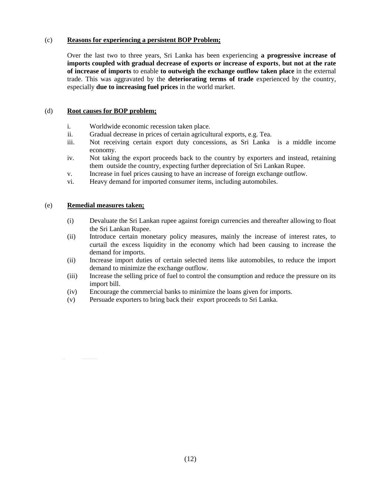#### (c) **Reasons for experiencing a persistent BOP Problem;**

Over the last two to three years, Sri Lanka has been experiencing **a progressive increase of imports coupled with gradual decrease of exports or increase of exports**, **but not at the rate of increase of imports** to enable **to outweigh the exchange outflow taken place** in the external trade. This was aggravated by the **deteriorating terms of trade** experienced by the country, especially **due to increasing fuel prices** in the world market.

#### (d) **Root causes for BOP problem;**

- i. Worldwide economic recession taken place.
- ii. Gradual decrease in prices of certain agricultural exports, e.g. Tea.
- iii. Not receiving certain export duty concessions, as Sri Lanka is a middle income economy.
- iv. Not taking the export proceeds back to the country by exporters and instead, retaining them outside the country, expecting further depreciation of Sri Lankan Rupee.
- v. Increase in fuel prices causing to have an increase of foreign exchange outflow.
- vi. Heavy demand for imported consumer items, including automobiles.

#### (e) **Remedial measures taken;**

- (i) Devaluate the Sri Lankan rupee against foreign currencies and thereafter allowing to float the Sri Lankan Rupee.
- (ii) Introduce certain monetary policy measures, mainly the increase of interest rates, to curtail the excess liquidity in the economy which had been causing to increase the demand for imports.
- (ii) Increase import duties of certain selected items like automobiles, to reduce the import demand to minimize the exchange outflow.
- (iii) Increase the selling price of fuel to control the consumption and reduce the pressure on its import bill.
- (iv) Encourage the commercial banks to minimize the loans given for imports.
- (v) Persuade exporters to bring back their export proceeds to Sri Lanka.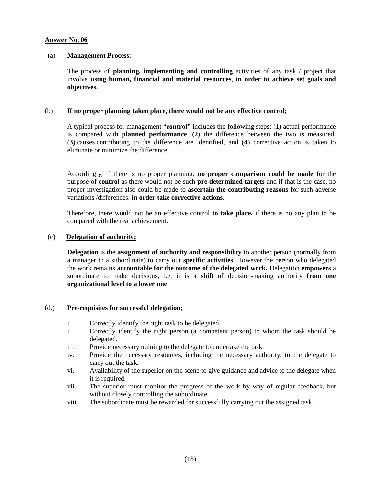#### (a) **Management Process**;

 The process of **planning, implementing and controlling** activities of any task / project that involve **using human, financial and material resources**, **in order to achieve set goals and objectives.**

#### (b) **If no proper planning taken place, there would not be any effective control;**

A typical process for management "**control"** includes the following steps: (**1**) actual performance is compared with **planned performance**, **(2**) the difference between the two is measured, (**3**) causes contributing to the difference are identified, and (**4**) corrective action is taken to eliminate or minimize the difference.

Accordingly, if there is no proper planning, **no proper comparison could be made** for the purpose of **control** as there would not be such **pre determined targets** and if that is the case, no proper investigation also could be made to **ascertain the contributing reasons** for such adverse variations /differences, **in order take corrective actions**.

Therefore, there would not be an effective control **to take place,** if there is no any plan to be compared with the real achievement.

#### (c) **Delegation of authority;**

**Delegation** is the **assignment of authority and responsibility** to another person (normally from a manager to a subordinate) to carry out **specific activities**. However the person who delegated the work remains **accountable for the outcome of the delegated work.** Delegation **empowers** a subordinate to make decisions, i.e. it is a **shif**t of decision-making authority **from one organizational level to a lower one**.

#### (d.) **Pre-requisites for successful delegation;**

- i. Correctly identify the right task to be delegated.
- ii. Correctly identify the right person (a competent person) to whom the task should be delegated.
- iii. Provide necessary training to the delegate to undertake the task.
- iv. Provide the necessary resources, including the necessary authority, to the delegate to carry out the task.
- vi. Availability of the superior on the scene to give guidance and advice to the delegate when it is required.
- vii. The superior must monitor the progress of the work by way of regular feedback, but without closely controlling the subordinate.
- viii. The subordinate must be rewarded for successfully carrying out the assigned task.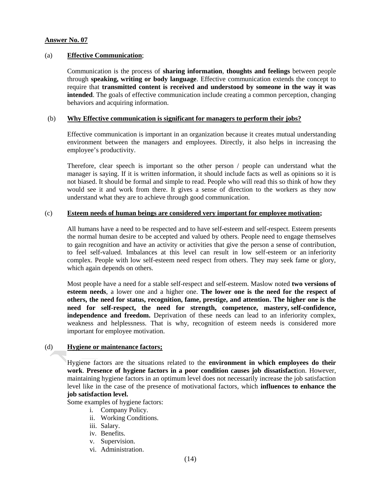#### (a) **Effective Communication**;

Communication is the process of **sharing information**, **thoughts and feelings** between people through **speaking, writing or body language**. Effective communication extends the concept to require that **transmitted content is received and understood by someone in the way it was intended**. The goals of effective communication include creating a common perception, changing behaviors and acquiring information.

#### (b) **Why Effective communication is significant for managers to perform their jobs?**

Effective communication is important in an organization because it creates mutual understanding environment between the managers and employees. Directly, it also helps in increasing the employee's productivity.

Therefore, clear speech is important so the other person / people can understand what the manager is saying. If it is written information, it should include facts as well as opinions so it is not biased. It should be formal and simple to read. People who will read this so think of how they would see it and work from there. It gives a sense of direction to the workers as they now understand what they are to achieve through good communication.

#### (c) **Esteem needs of human beings are considered very important for employee motivation;**

All humans have a need to be respected and to have self-esteem and self-respect. Esteem presents the normal human desire to be accepted and valued by others. People need to engage themselves to gain recognition and have an activity or activities that give the person a sense of contribution, to feel self-valued. Imbalances at this level can result in low self-esteem or an inferiority complex. People with low self-esteem need respect from others. They may seek fame or glory, which again depends on others.

Most people have a need for a stable self-respect and self-esteem. Maslow noted **two versions of esteem needs**, a lower one and a higher one. **The lower one is the need for the respect of others, the need for status, recognition, fame, prestige, and attention. The higher one is the need for self-respect, the need for strength, competence, mastery, self-confidence, independence and freedom.** Deprivation of these needs can lead to an inferiority complex, weakness and helplessness. That is why, recognition of esteem needs is considered more important for employee motivation.

#### (d) **Hygiene or maintenance factors;**

Hygiene factors are the situations related to the **environment in which employees do their work**. **Presence of hygiene factors in a poor condition causes job dissatisfact**ion. However, maintaining hygiene factors in an optimum level does not necessarily increase the job satisfaction level like in the case of the presence of motivational factors, which **influences to enhance the job satisfaction level.** 

Some examples of hygiene factors:

- i. Company Policy.
- ii. Working Conditions.
- iii. Salary.
- iv. Benefits.
- v. Supervision.
- vi. Administration.